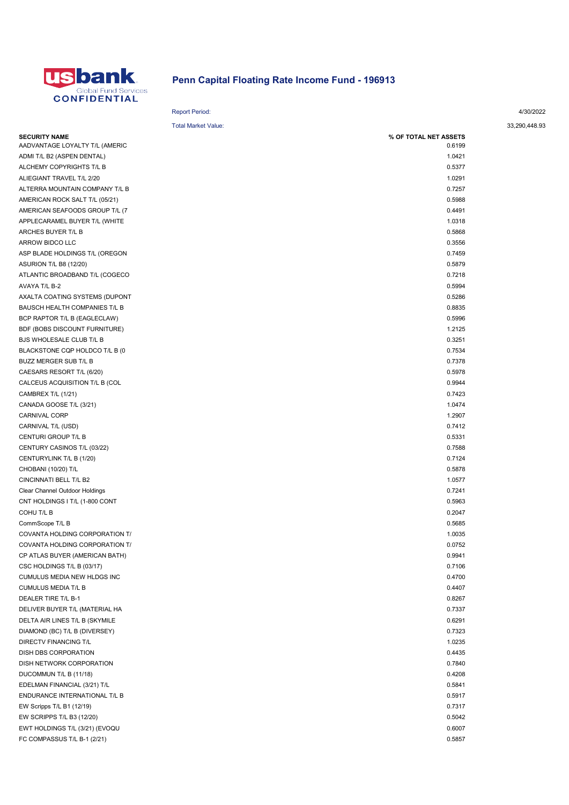

## Penn Capital Floating Rate Income Fund - 196913

Report Period: 4/30/2022

| <b>Total Market Value:</b>     |                       |
|--------------------------------|-----------------------|
| <b>SECURITY NAME</b>           | % OF TOTAL NET ASSETS |
| AADVANTAGE LOYALTY T/L (AMERIC | 0.6199                |
| ADMI T/L B2 (ASPEN DENTAL)     | 1.0421                |
| ALCHEMY COPYRIGHTS T/L B       | 0.5377                |
| ALIEGIANT TRAVEL T/L 2/20      | 1.0291                |
| ALTERRA MOUNTAIN COMPANY T/L B | 0.7257                |
| AMERICAN ROCK SALT T/L (05/21) | 0.5988                |
| AMERICAN SEAFOODS GROUP T/L (7 | 0.4491                |
| APPLECARAMEL BUYER T/L (WHITE  | 1.0318                |
| ARCHES BUYER T/L B             | 0.5868                |
| ARROW BIDCO LLC                | 0.3556                |
| ASP BLADE HOLDINGS T/L (OREGON | 0.7459                |
| <b>ASURION T/L B8 (12/20)</b>  | 0.5879                |
| ATLANTIC BROADBAND T/L (COGECO | 0.7218                |
| AVAYA T/L B-2                  | 0.5994                |
| AXALTA COATING SYSTEMS (DUPONT | 0.5286                |
| BAUSCH HEALTH COMPANIES T/L B  | 0.8835                |
| BCP RAPTOR T/L B (EAGLECLAW)   | 0.5996                |
| BDF (BOBS DISCOUNT FURNITURE)  | 1.2125                |
| BJS WHOLESALE CLUB T/L B       | 0.3251                |
| BLACKSTONE CQP HOLDCO T/L B (0 | 0.7534                |
| BUZZ MERGER SUB T/L B          | 0.7378                |
| CAESARS RESORT T/L (6/20)      | 0.5978                |
| CALCEUS ACQUISITION T/L B (COL | 0.9944                |
| CAMBREX T/L (1/21)             | 0.7423                |
| CANADA GOOSE T/L (3/21)        | 1.0474                |
| CARNIVAL CORP                  | 1.2907                |
| CARNIVAL T/L (USD)             | 0.7412                |
| CENTURI GROUP T/L B            | 0.5331                |
| CENTURY CASINOS T/L (03/22)    | 0.7588                |
| CENTURYLINK T/L B (1/20)       | 0.7124                |
| CHOBANI (10/20) T/L            | 0.5878                |
| CINCINNATI BELL T/L B2         | 1.0577                |
| Clear Channel Outdoor Holdings | 0.7241                |
| CNT HOLDINGS I T/L (1-800 CONT | 0.5963                |
| COHU T/L B                     | 0.2047                |
| CommScope T/L B                | 0.5685                |
| COVANTA HOLDING CORPORATION T/ | 1.0035                |
| COVANTA HOLDING CORPORATION T/ | 0.0752                |
| CP ATLAS BUYER (AMERICAN BATH) | 0.9941                |
| CSC HOLDINGS T/L B (03/17)     | 0.7106                |
| CUMULUS MEDIA NEW HLDGS INC    | 0.4700                |
| CUMULUS MEDIA T/L B            | 0.4407                |
| DEALER TIRE T/L B-1            | 0.8267                |
| DELIVER BUYER T/L (MATERIAL HA | 0.7337                |
| DELTA AIR LINES T/L B (SKYMILE | 0.6291                |
| DIAMOND (BC) T/L B (DIVERSEY)  | 0.7323                |
| DIRECTV FINANCING T/L          | 1.0235                |
| DISH DBS CORPORATION           | 0.4435                |
| DISH NETWORK CORPORATION       | 0.7840                |
| DUCOMMUN T/L B (11/18)         | 0.4208                |
| EDELMAN FINANCIAL (3/21) T/L   | 0.5841                |
| ENDURANCE INTERNATIONAL T/L B  | 0.5917                |
| EW Scripps T/L B1 (12/19)      | 0.7317                |
| EW SCRIPPS T/L B3 (12/20)      | 0.5042                |
| EWT HOLDINGS T/L (3/21) (EVOQU | 0.6007                |
| FC COMPASSUS T/L B-1 (2/21)    | 0.5857                |

33,290,448.93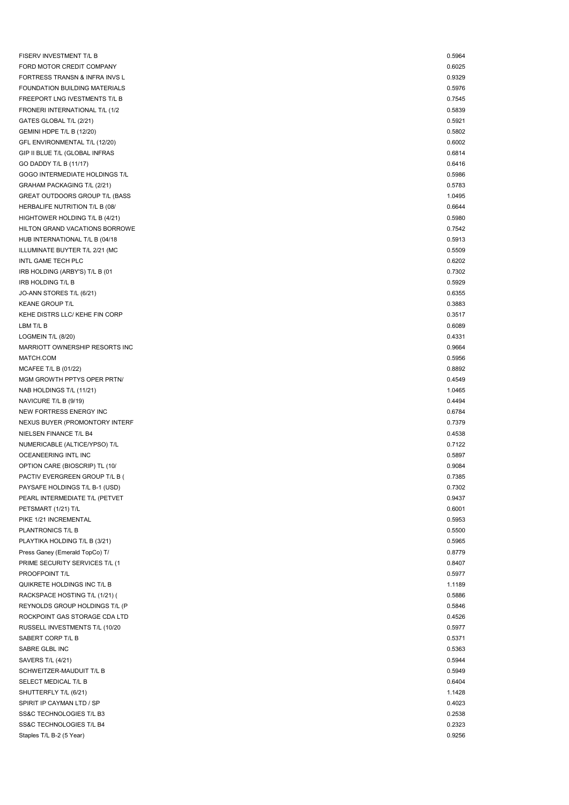| FISERV INVESTMENT T/L B                                          | 0.5964           |
|------------------------------------------------------------------|------------------|
| FORD MOTOR CREDIT COMPANY                                        | 0.6025           |
| FORTRESS TRANSN & INFRA INVS L                                   | 0.9329           |
| FOUNDATION BUILDING MATERIALS                                    | 0.5976           |
| FREEPORT LNG IVESTMENTS T/L B                                    | 0.7545           |
| FRONERI INTERNATIONAL T/L (1/2                                   | 0.5839           |
| GATES GLOBAL T/L (2/21)                                          | 0.5921           |
| GEMINI HDPE T/L B (12/20)                                        | 0.5802           |
| GFL ENVIRONMENTAL T/L (12/20)                                    | 0.6002           |
| GIP II BLUE T/L (GLOBAL INFRAS                                   | 0.6814           |
| GO DADDY T/L B (11/17)                                           | 0.6416           |
| GOGO INTERMEDIATE HOLDINGS T/L                                   | 0.5986           |
| GRAHAM PACKAGING T/L (2/21)                                      | 0.5783           |
| GREAT OUTDOORS GROUP T/L (BASS                                   | 1.0495           |
| HERBALIFE NUTRITION T/L B (08/                                   | 0.6644           |
| HIGHTOWER HOLDING T/L B (4/21)                                   | 0.5980           |
| HILTON GRAND VACATIONS BORROWE                                   | 0.7542           |
| HUB INTERNATIONAL T/L B (04/18                                   | 0.5913           |
| ILLUMINATE BUYTER T/L 2/21 (MC                                   | 0.5509           |
| INTL GAME TECH PLC                                               | 0.6202           |
| IRB HOLDING (ARBY'S) T/L B (01                                   | 0.7302           |
| IRB HOLDING T/L B                                                | 0.5929           |
| JO-ANN STORES T/L (6/21)                                         | 0.6355           |
| <b>KEANE GROUP T/L</b>                                           | 0.3883           |
| KEHE DISTRS LLC/ KEHE FIN CORP                                   | 0.3517           |
| LBM T/L B                                                        | 0.6089           |
| LOGMEIN T/L (8/20)                                               | 0.4331           |
| MARRIOTT OWNERSHIP RESORTS INC                                   | 0.9664           |
| MATCH.COM                                                        | 0.5956           |
| MCAFEE T/L B (01/22)                                             | 0.8892           |
| MGM GROWTH PPTYS OPER PRTN/                                      | 0.4549           |
| NAB HOLDINGS T/L (11/21)                                         | 1.0465           |
| NAVICURE T/L B (9/19)                                            | 0.4494           |
| NEW FORTRESS ENERGY INC                                          | 0.6784           |
| NEXUS BUYER (PROMONTORY INTERF                                   | 0.7379           |
| NIELSEN FINANCE T/L B4                                           | 0.4538           |
| NUMERICABLE (ALTICE/YPSO) T/L                                    | 0.7122           |
| OCEANEERING INTL INC                                             | 0.5897           |
| OPTION CARE (BIOSCRIP) TL (10/                                   | 0.9084           |
| PACTIV EVERGREEN GROUP T/L B (                                   | 0.7385           |
| PAYSAFE HOLDINGS T/L B-1 (USD)                                   | 0.7302           |
| PEARL INTERMEDIATE T/L (PETVET                                   | 0.9437           |
| PETSMART (1/21) T/L                                              | 0.6001           |
| PIKE 1/21 INCREMENTAL                                            | 0.5953           |
| PLANTRONICS T/L B                                                | 0.5500           |
| PLAYTIKA HOLDING T/L B (3/21)                                    | 0.5965           |
| Press Ganey (Emerald TopCo) T/<br>PRIME SECURITY SERVICES T/L (1 | 0.8779<br>0.8407 |
| PROOFPOINT T/L                                                   | 0.5977           |
| QUIKRETE HOLDINGS INC T/L B                                      | 1.1189           |
| RACKSPACE HOSTING T/L (1/21) (                                   | 0.5886           |
| REYNOLDS GROUP HOLDINGS T/L (P                                   | 0.5846           |
| ROCKPOINT GAS STORAGE CDA LTD                                    | 0.4526           |
| RUSSELL INVESTMENTS T/L (10/20                                   | 0.5977           |
| SABERT CORP T/L B                                                | 0.5371           |
| SABRE GLBL INC                                                   | 0.5363           |
| SAVERS T/L (4/21)                                                | 0.5944           |
| SCHWEITZER-MAUDUIT T/L B                                         | 0.5949           |
| SELECT MEDICAL T/L B                                             | 0.6404           |
| SHUTTERFLY T/L (6/21)                                            | 1.1428           |
| SPIRIT IP CAYMAN LTD / SP                                        | 0.4023           |
| SS&C TECHNOLOGIES T/L B3                                         | 0.2538           |
| SS&C TECHNOLOGIES T/L B4                                         | 0.2323           |
| Staples T/L B-2 (5 Year)                                         | 0.9256           |
|                                                                  |                  |